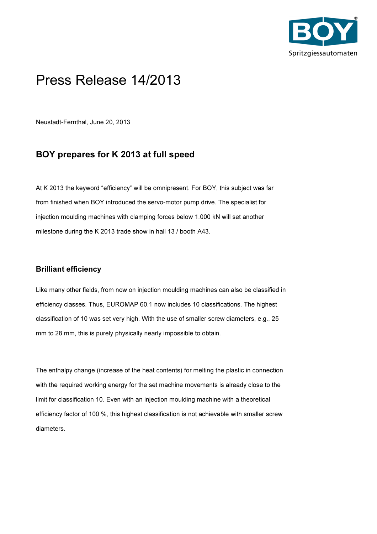

# Press Release 14/2013

Neustadt-Fernthal, June 20, 2013

## BOY prepares for K 2013 at full speed

At K 2013 the keyword "efficiency" will be omnipresent. For BOY, this subject was far from finished when BOY introduced the servo-motor pump drive. The specialist for injection moulding machines with clamping forces below 1.000 kN will set another milestone during the K 2013 trade show in hall 13 / booth A43.

#### Brilliant efficiency

Like many other fields, from now on injection moulding machines can also be classified in efficiency classes. Thus, EUROMAP 60.1 now includes 10 classifications. The highest classification of 10 was set very high. With the use of smaller screw diameters, e.g., 25 mm to 28 mm, this is purely physically nearly impossible to obtain.

The enthalpy change (increase of the heat contents) for melting the plastic in connection with the required working energy for the set machine movements is already close to the limit for classification 10. Even with an injection moulding machine with a theoretical efficiency factor of 100 %, this highest classification is not achievable with smaller screw diameters.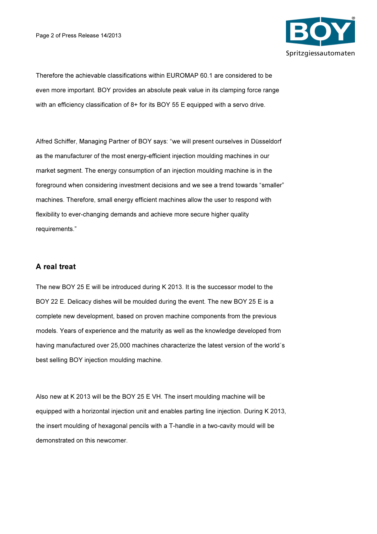

Therefore the achievable classifications within EUROMAP 60.1 are considered to be even more important. BOY provides an absolute peak value in its clamping force range with an efficiency classification of 8+ for its BOY 55 E equipped with a servo drive.

Alfred Schiffer, Managing Partner of BOY says: "we will present ourselves in Düsseldorf as the manufacturer of the most energy-efficient injection moulding machines in our market segment. The energy consumption of an injection moulding machine is in the foreground when considering investment decisions and we see a trend towards "smaller" machines. Therefore, small energy efficient machines allow the user to respond with flexibility to ever-changing demands and achieve more secure higher quality requirements."

#### A real treat

The new BOY 25 E will be introduced during K 2013. It is the successor model to the BOY 22 E. Delicacy dishes will be moulded during the event. The new BOY 25 E is a complete new development, based on proven machine components from the previous models. Years of experience and the maturity as well as the knowledge developed from having manufactured over 25,000 machines characterize the latest version of the world´s best selling BOY injection moulding machine.

Also new at K 2013 will be the BOY 25 E VH. The insert moulding machine will be equipped with a horizontal injection unit and enables parting line injection. During K 2013, the insert moulding of hexagonal pencils with a T-handle in a two-cavity mould will be demonstrated on this newcomer.